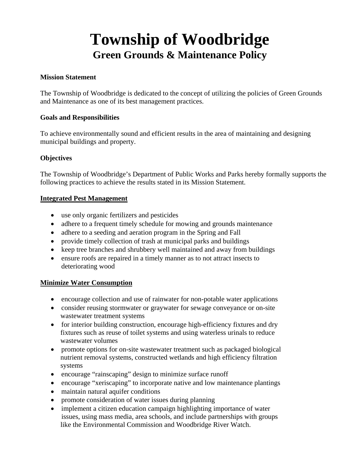# **Township of Woodbridge Green Grounds & Maintenance Policy**

#### **Mission Statement**

The Township of Woodbridge is dedicated to the concept of utilizing the policies of Green Grounds and Maintenance as one of its best management practices.

#### **Goals and Responsibilities**

To achieve environmentally sound and efficient results in the area of maintaining and designing municipal buildings and property.

### **Objectives**

The Township of Woodbridge's Department of Public Works and Parks hereby formally supports the following practices to achieve the results stated in its Mission Statement.

#### **Integrated Pest Management**

- use only organic fertilizers and pesticides
- adhere to a frequent timely schedule for mowing and grounds maintenance
- adhere to a seeding and aeration program in the Spring and Fall
- provide timely collection of trash at municipal parks and buildings
- keep tree branches and shrubbery well maintained and away from buildings
- ensure roofs are repaired in a timely manner as to not attract insects to deteriorating wood

### **Minimize Water Consumption**

- encourage collection and use of rainwater for non-potable water applications
- consider reusing stormwater or graywater for sewage conveyance or on-site wastewater treatment systems
- for interior building construction, encourage high-efficiency fixtures and dry fixtures such as reuse of toilet systems and using waterless urinals to reduce wastewater volumes
- promote options for on-site wastewater treatment such as packaged biological nutrient removal systems, constructed wetlands and high efficiency filtration systems
- encourage "rainscaping" design to minimize surface runoff
- encourage "xeriscaping" to incorporate native and low maintenance plantings
- maintain natural aquifer conditions
- promote consideration of water issues during planning
- implement a citizen education campaign highlighting importance of water issues, using mass media, area schools, and include partnerships with groups like the Environmental Commission and Woodbridge River Watch.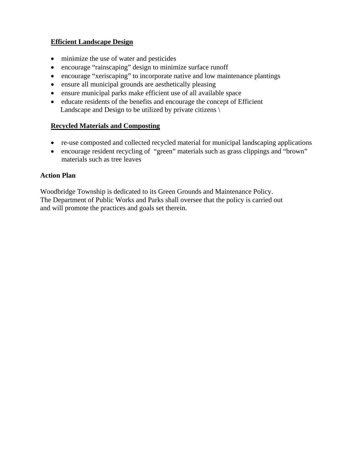## **Efficient Landscape Design**

- minimize the use of water and pesticides
- encourage "rainscaping" design to minimize surface runoff
- encourage "xeriscaping" to incorporate native and low maintenance plantings
- ensure all municipal grounds are aesthetically pleasing
- ensure municipal parks make efficient use of all available space
- educate residents of the benefits and encourage the concept of Efficient Landscape and Design to be utilized by private citizens \

### **Recycled Materials and Composting**

- re-use composted and collected recycled material for municipal landscaping applications
- encourage resident recycling of "green" materials such as grass clippings and "brown" materials such as tree leaves

### **Action Plan**

Woodbridge Township is dedicated to its Green Grounds and Maintenance Policy. The Department of Public Works and Parks shall oversee that the policy is carried out and will promote the practices and goals set therein.